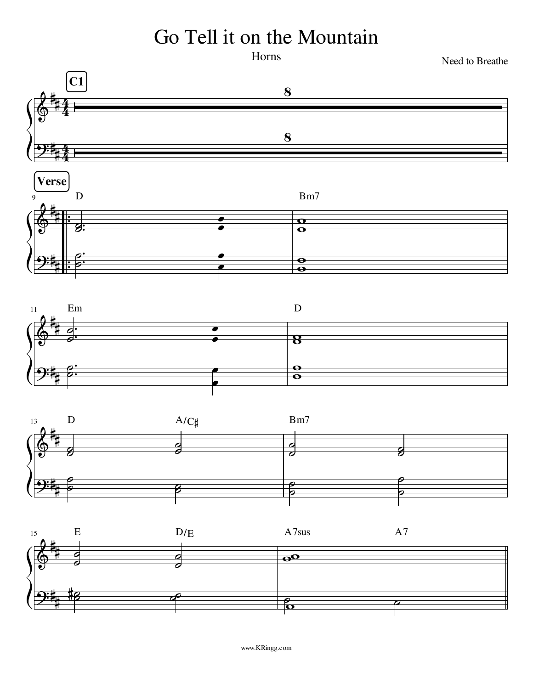## Go Tell it on the Mountain

Horns

Need to Breathe